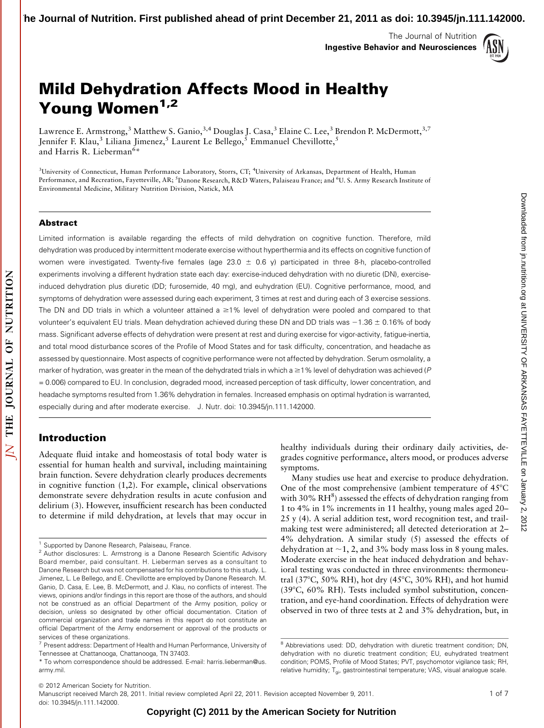The Journal of Nutrition Ingestive Behavior and Neurosciences



Downloaded from jn.nutrition.org at UNIVERSITY OF ARKANSAS FAYETTEVILLE on January 2, Downloaded transity of ARKANSAS FAYETTEVILLE on January 2012 2012 [jn.nutrition.org](http://jn.nutrition.org/) Downloaded from the Digital from the Supersity 2012 in the Supersity 2012 in the Supersity 2012 in the Supersity 2012 in the Supersity 2012

2012

# Mild Dehydration Affects Mood in Healthy Young Women<sup>1,2</sup>

Lawrence E. Armstrong,<sup>3</sup> Matthew S. Ganio,<sup>3,4</sup> Douglas J. Casa,<sup>3</sup> Elaine C. Lee,<sup>3</sup> Brendon P. McDermott,<sup>3,7</sup> Jennifer F. Klau,<sup>3</sup> Liliana Jimenez,<sup>5</sup> Laurent Le Bellego,<sup>5</sup> Emmanuel Chevillotte,<sup>5</sup> and Harris R. Lieberman<sup>6</sup>\*

<sup>3</sup>University of Connecticut, Human Performance Laboratory, Storrs, CT; <sup>4</sup>University of Arkansas, Department of Health, Human Performance, and Recreation, Fayetteville, AR; <sup>5</sup>Danone Research, R&D Waters, Palaiseau France; and <sup>6</sup>U. S. Army Research Institute of Environmental Medicine, Military Nutrition Division, Natick, MA

## Abstract

Limited information is available regarding the effects of mild dehydration on cognitive function. Therefore, mild dehydration was produced by intermittent moderate exercise without hyperthermia and its effects on cognitive function of women were investigated. Twenty-five females (age 23.0  $\pm$  0.6 y) participated in three 8-h, placebo-controlled experiments involving a different hydration state each day: exercise-induced dehydration with no diuretic (DN), exerciseinduced dehydration plus diuretic (DD; furosemide, 40 mg), and euhydration (EU). Cognitive performance, mood, and symptoms of dehydration were assessed during each experiment, 3 times at rest and during each of 3 exercise sessions. The DN and DD trials in which a volunteer attained a  $\geq$ 1% level of dehydration were pooled and compared to that volunteer's equivalent EU trials. Mean dehydration achieved during these DN and DD trials was  $-1.36 \pm 0.16$ % of body mass. Significant adverse effects of dehydration were present at rest and during exercise for vigor-activity, fatigue-inertia, and total mood disturbance scores of the Profile of Mood States and for task difficulty, concentration, and headache as assessed by questionnaire. Most aspects of cognitive performance were not affected by dehydration. Serum osmolality, a marker of hydration, was greater in the mean of the dehydrated trials in which a  $\geq$  1% level of dehydration was achieved (P = 0.006) compared to EU. In conclusion, degraded mood, increased perception of task difficulty, lower concentration, and headache symptoms resulted from 1.36% dehydration in females. Increased emphasis on optimal hydration is warranted, especially during and after moderate exercise. J. Nutr. doi: 10.3945/jn.111.142000.

# Introduction

Adequate fluid intake and homeostasis of total body water is essential for human health and survival, including maintaining brain function. Severe dehydration clearly produces decrements in cognitive function (1,2). For example, clinical observations demonstrate severe dehydration results in acute confusion and delirium (3). However, insufficient research has been conducted to determine if mild dehydration, at levels that may occur in healthy individuals during their ordinary daily activities, degrades cognitive performance, alters mood, or produces adverse symptoms.

Many studies use heat and exercise to produce dehydration. One of the most comprehensive (ambient temperature of  $45^{\circ}$ C with 30%  $\rm RH^8$ ) assessed the effects of dehydration ranging from 1 to 4% in 1% increments in 11 healthy, young males aged 20– 25 y (4). A serial addition test, word recognition test, and trailmaking test were administered; all detected deterioration at 2– 4% dehydration. A similar study (5) assessed the effects of dehydration at  $\sim$  1, 2, and 3% body mass loss in 8 young males. Moderate exercise in the heat induced dehydration and behavioral testing was conducted in three environments: thermoneutral (37°C, 50% RH), hot dry (45°C, 30% RH), and hot humid  $(39^{\circ}C, 60\% \text{ RH})$ . Tests included symbol substitution, concentration, and eye-hand coordination. Effects of dehydration were observed in two of three tests at 2 and 3% dehydration, but, in

Manuscript received March 28, 2011. Initial review completed April 22, 2011. Revision accepted November 9, 2011. 1 **1 of 7** of 7 doi: 10.3945/jn.111.142000.

<sup>&</sup>lt;sup>1</sup> Supported by Danone Research, Palaiseau, France.

<sup>&</sup>lt;sup>2</sup> Author disclosures: L. Armstrong is a Danone Research Scientific Advisory Board member, paid consultant. H. Lieberman serves as a consultant to Danone Research but was not compensated for his contributions to this study. L. Jimenez, L. Le Bellego, and E. Chevillotte are employed by Danone Research. M. Ganio, D. Casa, E. Lee, B. McDermott, and J. Klau, no conflicts of interest. The views, opinions and/or findings in this report are those of the authors, and should not be construed as an official Department of the Army position, policy or decision, unless so designated by other official documentation. Citation of commercial organization and trade names in this report do not constitute an official Department of the Army endorsement or approval of the products or services of these organizations.<br><sup>7</sup> Present address: Department of Health and Human Performance, University of

Tennessee at Chattanooga, Chattanooga, TN 37403.

<sup>\*</sup> To whom correspondence should be addressed. E-mail: harris.lieberman@us. army.mil.

<sup>8</sup> Abbreviations used: DD, dehydration with diuretic treatment condition; DN, dehydration with no diuretic treatment condition; EU, euhydrated treatment condition; POMS, Profile of Mood States; PVT, psychomotor vigilance task; RH, relative humidity; T<sub>gi</sub>, gastrointestinal temperature; VAS, visual analogue scale.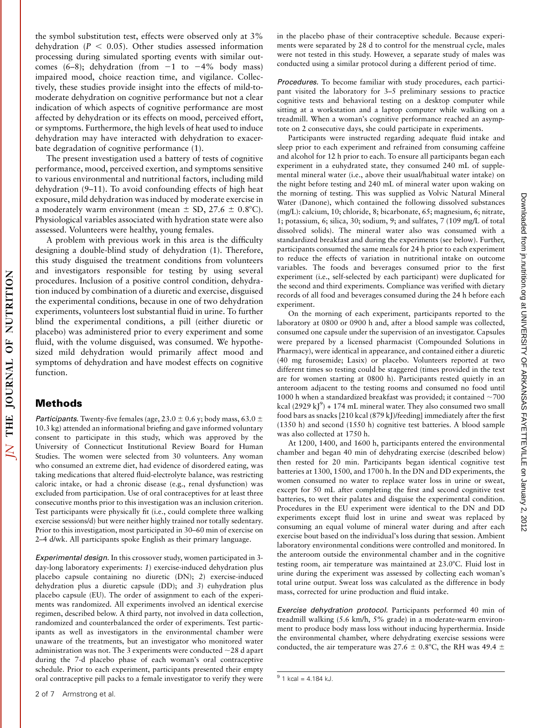the symbol substitution test, effects were observed only at 3% dehydration ( $P < 0.05$ ). Other studies assessed information processing during simulated sporting events with similar outcomes (6–8); dehydration (from  $-1$  to  $-4\%$  body mass) impaired mood, choice reaction time, and vigilance. Collectively, these studies provide insight into the effects of mild-tomoderate dehydration on cognitive performance but not a clear indication of which aspects of cognitive performance are most affected by dehydration or its effects on mood, perceived effort, or symptoms. Furthermore, the high levels of heat used to induce dehydration may have interacted with dehydration to exacerbate degradation of cognitive performance (1).

The present investigation used a battery of tests of cognitive performance, mood, perceived exertion, and symptoms sensitive to various environmental and nutritional factors, including mild dehydration (9–11). To avoid confounding effects of high heat exposure, mild dehydration was induced by moderate exercise in a moderately warm environment (mean  $\pm$  SD, 27.6  $\pm$  0.8°C). Physiological variables associated with hydration state were also assessed. Volunteers were healthy, young females.

A problem with previous work in this area is the difficulty designing a double-blind study of dehydration (1). Therefore, this study disguised the treatment conditions from volunteers and investigators responsible for testing by using several procedures. Inclusion of a positive control condition, dehydration induced by combination of a diuretic and exercise, disguised the experimental conditions, because in one of two dehydration experiments, volunteers lost substantial fluid in urine. To further blind the experimental conditions, a pill (either diuretic or placebo) was administered prior to every experiment and some fluid, with the volume disguised, was consumed. We hypothesized mild dehydration would primarily affect mood and symptoms of dehydration and have modest effects on cognitive function.

## **Methods**

NUTRITION

JOURNAL OF

THE

 $\overline{\Delta}$ 

Participants. Twenty-five females (age, 23.0  $\pm$  0.6 y; body mass, 63.0  $\pm$ 10.3 kg) attended an informational briefing and gave informed voluntary consent to participate in this study, which was approved by the University of Connecticut Institutional Review Board for Human Studies. The women were selected from 30 volunteers. Any woman who consumed an extreme diet, had evidence of disordered eating, was taking medications that altered fluid-electrolyte balance, was restricting caloric intake, or had a chronic disease (e.g., renal dysfunction) was excluded from participation. Use of oral contraceptives for at least three consecutive months prior to this investigation was an inclusion criterion. Test participants were physically fit (i.e., could complete three walking exercise sessions/d) but were neither highly trained nor totally sedentary. Prior to this investigation, most participated in 30–60 min of exercise on 2–4 d/wk. All participants spoke English as their primary language.

Experimental design. In this crossover study, women participated in 3 day-long laboratory experiments: 1) exercise-induced dehydration plus placebo capsule containing no diuretic (DN); 2) exercise-induced dehydration plus a diuretic capsule (DD); and 3) euhydration plus placebo capsule (EU). The order of assignment to each of the experiments was randomized. All experiments involved an identical exercise regimen, described below. A third party, not involved in data collection, randomized and counterbalanced the order of experiments. Test participants as well as investigators in the environmental chamber were unaware of the treatments, but an investigator who monitored water administration was not. The 3 experiments were conducted  $\sim$ 28 d apart during the 7-d placebo phase of each woman's oral contraceptive schedule. Prior to each experiment, participants presented their empty oral contraceptive pill packs to a female investigator to verify they were

in the placebo phase of their contraceptive schedule. Because experiments were separated by 28 d to control for the menstrual cycle, males were not tested in this study. However, a separate study of males was conducted using a similar protocol during a different period of time.

Procedures. To become familiar with study procedures, each participant visited the laboratory for 3–5 preliminary sessions to practice cognitive tests and behavioral testing on a desktop computer while sitting at a workstation and a laptop computer while walking on a treadmill. When a woman's cognitive performance reached an asymptote on 2 consecutive days, she could participate in experiments.

Participants were instructed regarding adequate fluid intake and sleep prior to each experiment and refrained from consuming caffeine and alcohol for 12 h prior to each. To ensure all participants began each experiment in a euhydrated state, they consumed 240 mL of supplemental mineral water (i.e., above their usual/habitual water intake) on the night before testing and 240 mL of mineral water upon waking on the morning of testing. This was supplied as Volvic Natural Mineral Water (Danone), which contained the following dissolved substances (mg/L): calcium, 10; chloride, 8; bicarbonate, 65; magnesium, 6; nitrate, 1; potassium, 6; silica, 30; sodium, 9; and sulfates, 7 (109 mg/L of total dissolved solids). The mineral water also was consumed with a standardized breakfast and during the experiments (see below). Further, participants consumed the same meals for 24 h prior to each experiment to reduce the effects of variation in nutritional intake on outcome variables. The foods and beverages consumed prior to the first experiment (i.e., self-selected by each participant) were duplicated for the second and third experiments. Compliance was verified with dietary records of all food and beverages consumed during the 24 h before each experiment.

On the morning of each experiment, participants reported to the laboratory at 0800 or 0900 h and, after a blood sample was collected, consumed one capsule under the supervision of an investigator. Capsules were prepared by a licensed pharmacist (Compounded Solutions in Pharmacy), were identical in appearance, and contained either a diuretic (40 mg furosemide; Lasix) or placebo. Volunteers reported at two different times so testing could be staggered (times provided in the text are for women starting at 0800 h). Participants rested quietly in an anteroom adjacent to the testing rooms and consumed no food until 1000 h when a standardized breakfast was provided; it contained  $\sim$ 700 kcal  $(2929 \text{ kJ}^9)$  + 174 mL mineral water. They also consumed two small food bars as snacks [210 kcal (879 kJ)/feeding] immediately after the first (1350 h) and second (1550 h) cognitive test batteries. A blood sample was also collected at 1750 h.

At 1200, 1400, and 1600 h, participants entered the environmental chamber and began 40 min of dehydrating exercise (described below) then rested for 20 min. Participants began identical cognitive test batteries at 1300, 1500, and 1700 h. In the DN and DD experiments, the women consumed no water to replace water loss in urine or sweat, except for 50 mL after completing the first and second cognitive test batteries, to wet their palates and disguise the experimental condition. Procedures in the EU experiment were identical to the DN and DD experiments except fluid lost in urine and sweat was replaced by consuming an equal volume of mineral water during and after each exercise bout based on the individual's loss during that session. Ambient laboratory environmental conditions were controlled and monitored. In the anteroom outside the environmental chamber and in the cognitive testing room, air temperature was maintained at 23.0°C. Fluid lost in urine during the experiment was assessed by collecting each woman's total urine output. Sweat loss was calculated as the difference in body mass, corrected for urine production and fluid intake.

Exercise dehydration protocol. Participants performed 40 min of treadmill walking (5.6 km/h, 5% grade) in a moderate-warm environment to produce body mass loss without inducing hyperthermia. Inside the environmental chamber, where dehydrating exercise sessions were conducted, the air temperature was 27.6  $\pm$  0.8°C, the RH was 49.4  $\pm$ 

 $9$  1 kcal = 4.184 kJ.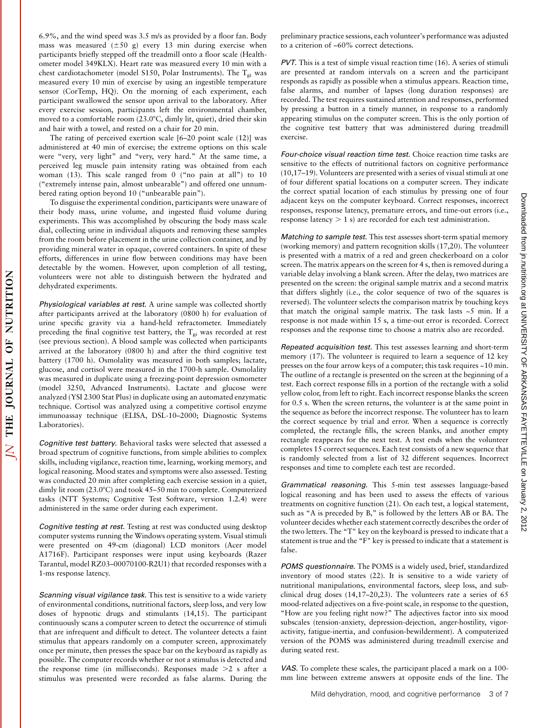6.9%, and the wind speed was 3.5 m/s as provided by a floor fan. Body mass was measured  $(\pm 50 \text{ g})$  every 13 min during exercise when participants briefly stepped off the treadmill onto a floor scale (Healthometer model 349KLX). Heart rate was measured every 10 min with a chest cardiotachometer (model S150, Polar Instruments). The  $T_{gi}$  was measured every 10 min of exercise by using an ingestible temperature sensor (CorTemp, HQ). On the morning of each experiment, each participant swallowed the sensor upon arrival to the laboratory. After every exercise session, participants left the environmental chamber, moved to a comfortable room (23.0°C, dimly lit, quiet), dried their skin and hair with a towel, and rested on a chair for 20 min.

The rating of perceived exertion scale [6–20 point scale (12)] was administered at 40 min of exercise; the extreme options on this scale were "very, very light" and "very, very hard." At the same time, a perceived leg muscle pain intensity rating was obtained from each woman (13). This scale ranged from 0 ("no pain at all") to 10 ("extremely intense pain, almost unbearable") and offered one unnumbered rating option beyond 10 ("unbearable pain").

To disguise the experimental condition, participants were unaware of their body mass, urine volume, and ingested fluid volume during experiments. This was accomplished by obscuring the body mass scale dial, collecting urine in individual aliquots and removing these samples from the room before placement in the urine collection container, and by providing mineral water in opaque, covered containers. In spite of these efforts, differences in urine flow between conditions may have been detectable by the women. However, upon completion of all testing, volunteers were not able to distinguish between the hydrated and dehydrated experiments.

Physiological variables at rest. A urine sample was collected shortly after participants arrived at the laboratory (0800 h) for evaluation of urine specific gravity via a hand-held refractometer. Immediately preceding the final cognitive test battery, the  $T_{gi}$  was recorded at rest (see previous section). A blood sample was collected when participants arrived at the laboratory (0800 h) and after the third cognitive test battery (1700 h). Osmolality was measured in both samples; lactate, glucose, and cortisol were measured in the 1700-h sample. Osmolality was measured in duplicate using a freezing-point depression osmometer (model 3250, Advanced Instruments). Lactate and glucose were analyzed (YSI 2300 Stat Plus) in duplicate using an automated enzymatic technique. Cortisol was analyzed using a competitive cortisol enzyme immunoassay technique (ELISA, DSL-10–2000; Diagnostic Systems Laboratories).

Cognitive test battery. Behavioral tasks were selected that assessed a broad spectrum of cognitive functions, from simple abilities to complex skills, including vigilance, reaction time, learning, working memory, and logical reasoning. Mood states and symptoms were also assessed. Testing was conducted 20 min after completing each exercise session in a quiet, dimly lit room (23.0°C) and took 45–50 min to complete. Computerized tasks (NTT Systems; Cognitive Test Software, version 1.2.4) were administered in the same order during each experiment.

Cognitive testing at rest. Testing at rest was conducted using desktop computer systems running the Windows operating system. Visual stimuli were presented on 49-cm (diagonal) LCD monitors (Acer model A1716F). Participant responses were input using keyboards (Razer Tarantul, model RZ03–00070100-R2U1) that recorded responses with a 1-ms response latency.

Scanning visual vigilance task. This test is sensitive to a wide variety of environmental conditions, nutritional factors, sleep loss, and very low doses of hypnotic drugs and stimulants (14,15). The participant continuously scans a computer screen to detect the occurrence of stimuli that are infrequent and difficult to detect. The volunteer detects a faint stimulus that appears randomly on a computer screen, approximately once per minute, then presses the space bar on the keyboard as rapidly as possible. The computer records whether or not a stimulus is detected and the response time (in milliseconds). Responses made  $>2$  s after a stimulus was presented were recorded as false alarms. During the

preliminary practice sessions, each volunteer's performance was adjusted to a criterion of ~60% correct detections.

PVT. This is a test of simple visual reaction time (16). A series of stimuli are presented at random intervals on a screen and the participant responds as rapidly as possible when a stimulus appears. Reaction time, false alarms, and number of lapses (long duration responses) are recorded. The test requires sustained attention and responses, performed by pressing a button in a timely manner, in response to a randomly appearing stimulus on the computer screen. This is the only portion of the cognitive test battery that was administered during treadmill exercise.

Four-choice visual reaction time test. Choice reaction time tasks are sensitive to the effects of nutritional factors on cognitive performance (10,17–19). Volunteers are presented with a series of visual stimuli at one of four different spatial locations on a computer screen. They indicate the correct spatial location of each stimulus by pressing one of four adjacent keys on the computer keyboard. Correct responses, incorrect responses, response latency, premature errors, and time-out errors (i.e., response latency  $> 1$  s) are recorded for each test administration.

Matching to sample test. This test assesses short-term spatial memory (working memory) and pattern recognition skills (17,20). The volunteer is presented with a matrix of a red and green checkerboard on a color screen. The matrix appears on the screen for 4 s, then is removed during a variable delay involving a blank screen. After the delay, two matrices are presented on the screen: the original sample matrix and a second matrix that differs slightly (i.e., the color sequence of two of the squares is reversed). The volunteer selects the comparison matrix by touching keys that match the original sample matrix. The task lasts ~5 min. If a response is not made within 15 s, a time-out error is recorded. Correct responses and the response time to choose a matrix also are recorded.

Repeated acquisition test. This test assesses learning and short-term memory (17). The volunteer is required to learn a sequence of 12 key presses on the four arrow keys of a computer; this task requires ~10 min. The outline of a rectangle is presented on the screen at the beginning of a test. Each correct response fills in a portion of the rectangle with a solid yellow color, from left to right. Each incorrect response blanks the screen for 0.5 s. When the screen returns, the volunteer is at the same point in the sequence as before the incorrect response. The volunteer has to learn the correct sequence by trial and error. When a sequence is correctly completed, the rectangle fills, the screen blanks, and another empty rectangle reappears for the next test. A test ends when the volunteer completes 15 correct sequences. Each test consists of a new sequence that is randomly selected from a list of 32 different sequences. Incorrect responses and time to complete each test are recorded.

Grammatical reasoning. This 5-min test assesses language-based logical reasoning and has been used to assess the effects of various treatments on cognitive function (21). On each test, a logical statement, such as "A is preceded by B," is followed by the letters AB or BA. The volunteer decides whether each statement correctly describes the order of the two letters. The "T" key on the keyboard is pressed to indicate that a statement is true and the "F" key is pressed to indicate that a statement is false.

POMS questionnaire. The POMS is a widely used, brief, standardized inventory of mood states (22). It is sensitive to a wide variety of nutritional manipulations, environmental factors, sleep loss, and subclinical drug doses (14,17–20,23). The volunteers rate a series of 65 mood-related adjectives on a five-point scale, in response to the question, "How are you feeling right now?" The adjectives factor into six mood subscales (tension-anxiety, depression-dejection, anger-hostility, vigoractivity, fatigue-inertia, and confusion-bewilderment). A computerized version of the POMS was administered during treadmill exercise and during seated rest.

VAS. To complete these scales, the participant placed a mark on a 100 mm line between extreme answers at opposite ends of the line. The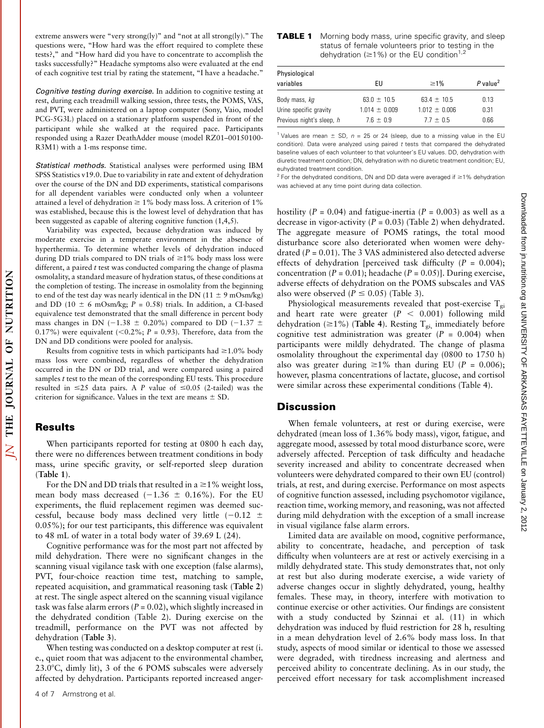extreme answers were "very strong(ly)" and "not at all strong(ly)." The questions were, "How hard was the effort required to complete these tests?," and "How hard did you have to concentrate to accomplish the tasks successfully?" Headache symptoms also were evaluated at the end of each cognitive test trial by rating the statement, "I have a headache."

Cognitive testing during exercise. In addition to cognitive testing at rest, during each treadmill walking session, three tests, the POMS, VAS, and PVT, were administered on a laptop computer (Sony, Vaio, model PCG-5G3L) placed on a stationary platform suspended in front of the participant while she walked at the required pace. Participants responded using a Razer DeathAdder mouse (model RZ01–00150100- R3M1) with a 1-ms response time.

Statistical methods. Statistical analyses were performed using IBM SPSS Statistics v19.0. Due to variability in rate and extent of dehydration over the course of the DN and DD experiments, statistical comparisons for all dependent variables were conducted only when a volunteer attained a level of dehydration  $\geq 1\%$  body mass loss. A criterion of 1% was established, because this is the lowest level of dehydration that has been suggested as capable of altering cognitive function (1,4,5).

Variability was expected, because dehydration was induced by moderate exercise in a temperate environment in the absence of hyperthermia. To determine whether levels of dehydration induced during DD trials compared to DN trials of  $\geq$ 1% body mass loss were different, a paired  $t$  test was conducted comparing the change of plasma osmolality, a standard measure of hydration status, of these conditions at the completion of testing. The increase in osmolality from the beginning to end of the test day was nearly identical in the DN (11  $\pm$  9 mOsm/kg) and DD (10  $\pm$  6 mOsm/kg; P = 0.58) trials. In addition, a CI-based equivalence test demonstrated that the small difference in percent body mass changes in DN (-1.38  $\pm$  0.20%) compared to DD (-1.37  $\pm$ 0.17%) were equivalent (<0.2%;  $P = 0.93$ ). Therefore, data from the DN and DD conditions were pooled for analysis.

Results from cognitive tests in which participants had  $\geq 1.0\%$  body mass loss were combined, regardless of whether the dehydration occurred in the DN or DD trial, and were compared using a paired samples t test to the mean of the corresponding EU tests. This procedure resulted in  $\leq$ 25 data pairs. A P value of  $\leq$ 0.05 (2-tailed) was the criterion for significance. Values in the text are means  $\pm$  SD.

## Results

NUTRITION

**OF** 

**JOURNAL** 

THE

 $\overline{\Delta}$ 

When participants reported for testing at 0800 h each day, there were no differences between treatment conditions in body mass, urine specific gravity, or self-reported sleep duration (Table 1).

For the DN and DD trials that resulted in a  $\geq$ 1% weight loss, mean body mass decreased  $(-1.36 \pm 0.16\%)$ . For the EU experiments, the fluid replacement regimen was deemed successful, because body mass declined very little  $(-0.12 \pm 1)$ 0.05%); for our test participants, this difference was equivalent to 48 mL of water in a total body water of 39.69 L (24).

Cognitive performance was for the most part not affected by mild dehydration. There were no significant changes in the scanning visual vigilance task with one exception (false alarms), PVT, four-choice reaction time test, matching to sample, repeated acquisition, and grammatical reasoning task (Table 2) at rest. The single aspect altered on the scanning visual vigilance task was false alarm errors ( $P = 0.02$ ), which slightly increased in the dehydrated condition (Table 2). During exercise on the treadmill, performance on the PVT was not affected by dehydration (Table 3).

When testing was conducted on a desktop computer at rest (i. e., quiet room that was adjacent to the environmental chamber, 23.0 $^{\circ}$ C, dimly lit), 3 of the 6 POMS subscales were adversely affected by dehydration. Participants reported increased anger-

| <b>TABLE 1</b> Morning body mass, urine specific gravity, and sleep |
|---------------------------------------------------------------------|
| status of female volunteers prior to testing in the                 |
| dehydration ( $\geq$ 1%) or the EU condition <sup>1,2</sup>         |

| Physiological<br>variables | EU                | $\geq$ 1%         | $P$ value <sup>2</sup> |  |
|----------------------------|-------------------|-------------------|------------------------|--|
| Body mass, kg              | $63.0 \pm 10.5$   | $63.4 \pm 10.5$   | 0.13                   |  |
| Urine specific gravity     | $1.014 \pm 0.009$ | $1.012 \pm 0.006$ | 0.31                   |  |
| Previous night's sleep, h  | $7.6 \pm 0.9$     | $7.7 \pm 0.5$     | 0.66                   |  |

<sup>1</sup> Values are mean  $\pm$  SD, n = 25 or 24 (sleep, due to a missing value in the EU condition). Data were analyzed using paired  $t$  tests that compared the dehydrated baseline values of each volunteer to that volunteer's EU values. DD, dehydration with diuretic treatment condition; DN, dehydration with no diuretic treatment condition; EU, euhydrated treatment condition.

<sup>2</sup> For the dehydrated conditions, DN and DD data were averaged if  $\geq$ 1% dehydration was achieved at any time point during data collection.

hostility ( $P = 0.04$ ) and fatigue-inertia ( $P = 0.003$ ) as well as a decrease in vigor-activity ( $P = 0.03$ ) (Table 2) when dehydrated. The aggregate measure of POMS ratings, the total mood disturbance score also deteriorated when women were dehydrated  $(P = 0.01)$ . The 3 VAS administered also detected adverse effects of dehydration [perceived task difficulty  $(P = 0.004)$ ; concentration ( $P = 0.01$ ); headache ( $P = 0.05$ )]. During exercise, adverse effects of dehydration on the POMS subscales and VAS also were observed ( $P \le 0.05$ ) (Table 3).

Physiological measurements revealed that post-exercise  $T_{gi}$ and heart rate were greater  $(P < 0.001)$  following mild dehydration ( $\geq$ 1%) (Table 4). Resting T<sub>gi,</sub> immediately before cognitive test administration was greater ( $P = 0.004$ ) when participants were mildly dehydrated. The change of plasma osmolality throughout the experimental day (0800 to 1750 h) also was greater during  $\geq 1\%$  than during EU (P = 0.006); however, plasma concentrations of lactate, glucose, and cortisol were similar across these experimental conditions (Table 4).

#### Discussion

When female volunteers, at rest or during exercise, were dehydrated (mean loss of 1.36% body mass), vigor, fatigue, and aggregate mood, assessed by total mood disturbance score, were adversely affected. Perception of task difficulty and headache severity increased and ability to concentrate decreased when volunteers were dehydrated compared to their own EU (control) trials, at rest, and during exercise. Performance on most aspects of cognitive function assessed, including psychomotor vigilance, reaction time, working memory, and reasoning, was not affected during mild dehydration with the exception of a small increase in visual vigilance false alarm errors.

Limited data are available on mood, cognitive performance, ability to concentrate, headache, and perception of task difficulty when volunteers are at rest or actively exercising in a mildly dehydrated state. This study demonstrates that, not only at rest but also during moderate exercise, a wide variety of adverse changes occur in slightly dehydrated, young, healthy females. These may, in theory, interfere with motivation to continue exercise or other activities. Our findings are consistent with a study conducted by Szinnai et al. (11) in which dehydration was induced by fluid restriction for 28 h, resulting in a mean dehydration level of 2.6% body mass loss. In that study, aspects of mood similar or identical to those we assessed were degraded, with tiredness increasing and alertness and perceived ability to concentrate declining. As in our study, the perceived effort necessary for task accomplishment increased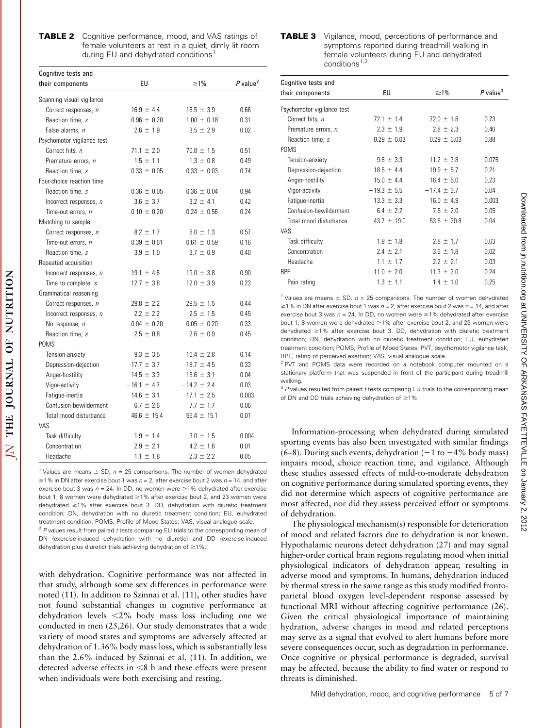| <b>TABLE 2</b> Cognitive performance, mood, and VAS ratings of |
|----------------------------------------------------------------|
| female volunteers at rest in a quiet, dimly lit room           |
| during EU and dehydrated conditions <sup>1</sup>               |

| Cognitive tests and        | EU              | $\geq$ 1%       | $P$ value <sup>2</sup> |
|----------------------------|-----------------|-----------------|------------------------|
| their components           |                 |                 |                        |
| Scanning visual vigilance  |                 |                 |                        |
| Correct responses, n       | $16.9 \pm 4.4$  | $16.5 \pm 3.9$  | 0.66                   |
| Reaction time, s           | $0.96 \pm 0.20$ | $1.00 \pm 0.18$ | 0.31                   |
| False alarms. n            | $2.6 \pm 1.9$   | $3.5 \pm 2.9$   | 0.02                   |
| Psychomotor vigilance test |                 |                 |                        |
| Correct hits, n            | $71.1 \pm 2.0$  | $70.8 \pm 1.5$  | 0.51                   |
| Premature errors. n        | $1.5 \pm 1.1$   | $1.3 \pm 0.8$   | 0.49                   |
| Reaction time, s           | $0.33 \pm 0.05$ | $0.33 \pm 0.03$ | 0.74                   |
| Four-choice reaction time  |                 |                 |                        |
| Reaction time, s           | $0.36 \pm 0.05$ | $0.36 \pm 0.04$ | 0.94                   |
| Incorrect responses, n     | $3.6 \pm 3.7$   | $3.2 \pm 4.1$   | 0.42                   |
| Time-out errors. n         | $0.10 \pm 0.20$ | $0.24 \pm 0.56$ | 0.24                   |
| Matching to sample         |                 |                 |                        |
| Correct responses, n       | $8.2 \pm 1.7$   | $8.0 \pm 1.3$   | 0.57                   |
| Time-out errors, n         | $0.39 \pm 0.61$ | $0.61 \pm 0.59$ | 0.16                   |
| Reaction time, s           | $3.9 \pm 1.0$   | $3.7 \pm 0.9$   | 0.40                   |
| Repeated acquisition       |                 |                 |                        |
| Incorrect responses, n     | $19.1 \pm 4.6$  | $19.0 \pm 3.8$  | 0.90                   |
| Time to complete, s        | $12.7 \pm 3.8$  | $12.0 \pm 3.9$  | 0.23                   |
| Grammatical reasoning      |                 |                 |                        |
| Correct responses, n       | $29.8 \pm 2.2$  | $29.5 \pm 1.5$  | 0.44                   |
| Incorrect responses, n     | $2.2 \pm 2.2$   | $2.5 \pm 1.5$   | 0.45                   |
| No response, n             | $0.04 \pm 0.20$ | $0.05 \pm 0.20$ | 0.33                   |
| Reaction time, s           | $2.5 \pm 0.8$   | $2.6 \pm 0.9$   | 0.45                   |
| <b>POMS</b>                |                 |                 |                        |
| Tension-anxiety            | $9.3 \pm 3.5$   | $10.4 \pm 2.8$  | 0.14                   |
| Depression-dejection       | $17.7 \pm 3.7$  | $18.7 \pm 4.5$  | 0.33                   |
| Anger-hostility            | $14.5 \pm 3.3$  | $15.6 \pm 3.1$  | 0.04                   |
| Vigor-activity             | $-16.1 \pm 4.7$ | $-14.2 \pm 2.4$ | 0.03                   |
| Fatique-inertia            | $14.6 \pm 3.1$  | $17.1 \pm 2.5$  | 0.003                  |
| Confusion-bewilderment     | $6.7 \pm 2.6$   | $7.7 \pm 1.7$   | 0.06                   |
| Total mood disturbance     | $46.6 \pm 15.4$ | $55.4 \pm 15.1$ | 0.01                   |
| VAS                        |                 |                 |                        |
| Task difficulty            | $1.9 \pm 1.4$   | $3.0 \pm 1.5$   | 0.004                  |
| Concentration              | $2.9 \pm 2.1$   | $4.2 \pm 1.6$   | 0.01                   |
| Headache                   | $1.1 \pm 1.8$   | $2.3 \pm 2.2$   | 0.05                   |

<sup>1</sup> Values are means  $\pm$  SD, n = 25 comparisons. The number of women dehydrated  $\geq$ 1% in DN after exercise bout 1 was n = 2, after exercise bout 2 was n = 14, and after exercise bout 3 was  $n = 24$ . In DD, no women were  $\geq 1\%$  dehydrated after exercise bout 1; 8 women were dehydrated  $\geq$ 1% after exercise bout 2, and 23 women were dehydrated  $\geq$ 1% after exercise bout 3. DD, dehydration with diuretic treatment condition; DN, dehydration with no diuretic treatment condition; EU, euhydrated treatment condition; POMS, Profile of Mood States; VAS, visual analogue scale.

 $2$  P values result from paired t tests comparing EU trials to the corresponding mean of DN (exercise-induced dehydration with no diuretic) and DD (exercise-induced dehydration plus diuretic) trials achieving dehydration of  $\geq$ 1%.

with dehydration. Cognitive performance was not affected in that study, although some sex differences in performance were noted (11). In addition to Szinnai et al. (11), other studies have not found substantial changes in cognitive performance at dehydration levels  $\langle 2\% \rangle$  body mass loss including one we conducted in men (25,26). Our study demonstrates that a wide variety of mood states and symptoms are adversely affected at dehydration of 1.36% body mass loss, which is substantially less than the 2.6% induced by Szinnai et al. (11). In addition, we detected adverse effects in  $\leq 8$  h and these effects were present when individuals were both exercising and resting.

#### **TABLE 3** Vigilance, mood, perceptions of performance and symptoms reported during treadmill walking in female volunteers during EU and dehydrated conditions $1,2$

| Cognitive tests and        |                 |                 |                        |
|----------------------------|-----------------|-----------------|------------------------|
| their components           | EU              | $\geq$ 1%       | $P$ value <sup>3</sup> |
| Psychomotor vigilance test |                 |                 |                        |
| Correct hits, n            | $72.1 \pm 1.4$  | $72.0 \pm 1.8$  | 0.73                   |
| Premature errors, n        | $2.3 \pm 1.9$   | $2.8 \pm 2.3$   | 0.40                   |
| Reaction time, s           | $0.29 \pm 0.03$ | $0.29 \pm 0.03$ | 0.88                   |
| <b>POMS</b>                |                 |                 |                        |
| Tension-anxiety            | $9.8 \pm 3.3$   | $11.2 \pm 3.8$  | 0.075                  |
| Depression-dejection       | $18.5 \pm 4.4$  | $19.9 \pm 5.7$  | 0.21                   |
| Anger-hostility            | $15.0 \pm 4.4$  | $16.4 \pm 5.0$  | 0.23                   |
| Vigor-activity             | $-19.3 \pm 5.5$ | $-17.4 \pm 3.7$ | 0.04                   |
| Fatigue-inertia            | $13.3 \pm 3.3$  | $16.0 \pm 4.9$  | 0.003                  |
| Confusion-bewilderment     | $6.4 \pm 2.2$   | $7.5 \pm 2.0$   | 0.05                   |
| Total mood disturbance     | $43.7 \pm 19.0$ | $53.5 \pm 20.8$ | 0.04                   |
| <b>VAS</b>                 |                 |                 |                        |
| Task difficulty            | $1.9 \pm 1.8$   | $2.8 \pm 1.7$   | 0.03                   |
| Concentration              | $2.4 \pm 2.1$   | $3.6 \pm 1.8$   | 0.02                   |
| Headache                   | $1.1 \pm 1.7$   | $2.2 \pm 2.1$   | 0.03                   |
| <b>RPF</b>                 | $11.0 \pm 2.0$  | $11.3 \pm 2.0$  | 0.24                   |
| Pain rating                | $1.3 \pm 1.1$   | $1.4 \pm 1.0$   | 0.25                   |

<sup>1</sup> Values are means  $\pm$  SD, n = 25 comparisons. The number of women dehydrated  $\geq$ 1% in DN after exercise bout 1 was n = 2, after exercise bout 2 was n = 14, and after exercise bout 3 was  $n = 24$ . In DD, no women were  $\geq 1\%$  dehydrated after exercise bout 1; 8 women were dehydrated  $\geq$ 1% after exercise bout 2, and 23 women were dehydrated  $\geq$ 1% after exercise bout 3. DD, dehydration with diuretic treatment condition; DN, dehydration with no diuretic treatment condition; EU, euhydrated treatment condition; POMS, Profile of Mood States; PVT, psychomotor vigilance task; RPE, rating of perceived exertion; VAS, visual analogue scale.

 $2$  PVT and POMS data were recorded on a notebook computer mounted on a stationary platform that was suspended in front of the participant during treadmill walking.

 $3$  P values resulted from paired t tests comparing EU trials to the corresponding mean of DN and DD trials achieving dehydration of  $\geq$ 1%.

Information-processing when dehydrated during simulated sporting events has also been investigated with similar findings (6–8). During such events, dehydration ( $-1$  to  $-4\%$  body mass) impairs mood, choice reaction time, and vigilance. Although these studies assessed effects of mild-to-moderate dehydration on cognitive performance during simulated sporting events, they did not determine which aspects of cognitive performance are most affected, nor did they assess perceived effort or symptoms of dehydration.

The physiological mechanism(s) responsible for deterioration of mood and related factors due to dehydration is not known. Hypothalamic neurons detect dehydration (27) and may signal higher-order cortical brain regions regulating mood when initial physiological indicators of dehydration appear, resulting in adverse mood and symptoms. In humans, dehydration induced by thermal stress in the same range as this study modified frontoparietal blood oxygen level-dependent response assessed by functional MRI without affecting cognitive performance (26). Given the critical physiological importance of maintaining hydration, adverse changes in mood and related perceptions may serve as a signal that evolved to alert humans before more severe consequences occur, such as degradation in performance. Once cognitive or physical performance is degraded, survival may be affected, because the ability to find water or respond to threats is diminished.

JOURNAL OF NUTRITION

THE

 $\overline{\mathsf{N}}$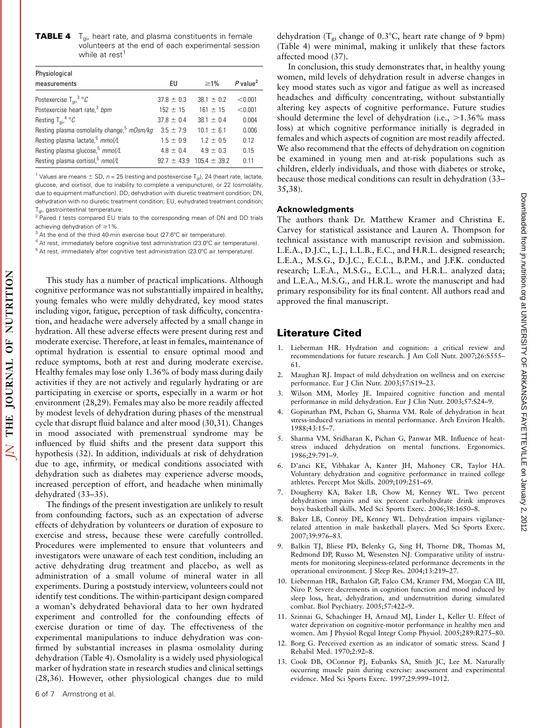#### **TABLE 4**  $T_{gi}$ , heart rate, and plasma constituents in female volunteers at the end of each experimental session while at rest

| Physiological                                          |                |                                  |                        |
|--------------------------------------------------------|----------------|----------------------------------|------------------------|
| measurements                                           | EU             | $\geq$ 1%                        | $P$ value <sup>2</sup> |
| Postexercise $T_{\text{ni}}^3$ °C                      | $37.8 \pm 0.3$ | $381 + 02$                       | < 0.001                |
| Postexercise heart rate, <sup>3</sup> bpm              | $152 \pm 15$   | $161 + 15$                       | < 0.001                |
| Resting $T_{\text{qi}}^4$ °C                           | $378 + 04$     | $381 + 04$                       | 0.004                  |
| Resting plasma osmolality change, <sup>5</sup> mOsm/kg | $3.5 \pm 7.9$  | $10.1 \pm 6.1$                   | 0.006                  |
| Resting plasma lactate, <sup>5</sup> mmol/L            | $15 + 09$      | $12 + 05$                        | 0.12                   |
| Resting plasma glucose, <sup>5</sup> mmol/L            | $48 + 04$      | $49 + 03$                        | 0.15                   |
| Resting plasma cortisol, <sup>5</sup> nmol/L           |                | $92.7 \pm 43.9$ 105.4 $\pm$ 39.2 | 0.11                   |

<sup>1</sup> Values are means  $\pm$  SD, n = 25 (resting and postexercise T<sub>gi</sub>), 24 (heart rate, lactate, glucose, and cortisol, due to inability to complete a venipuncture), or 22 (osmolality, due to equipment malfunction). DD, dehydration with diuretic treatment condition; DN, dehydration with no diuretic treatment condition; EU, euhydrated treatment condition; Tgi, gastrointestinal temperature.

 $2$  Paired t tests compared EU trials to the corresponding mean of DN and DD trials achieving dehydration of  $>1\%$ .

 $3$  At the end of the third 40-min exercise bout (27.6 $^{\circ}$ C air temperature).

NUTRITION

**OF** 

**JOURNAL** 

THE

 $\overline{\Delta}$ 

 $4$  At rest, immediately before cognitive test administration (23.0 $^{\circ}$ C air temperature).

 $5$  At rest, immediately after cognitive test administration (23.0 $^{\circ}$ C air temperature).

This study has a number of practical implications. Although cognitive performance was not substantially impaired in healthy, young females who were mildly dehydrated, key mood states including vigor, fatigue, perception of task difficulty, concentration, and headache were adversely affected by a small change in hydration. All these adverse effects were present during rest and moderate exercise. Therefore, at least in females, maintenance of optimal hydration is essential to ensure optimal mood and reduce symptoms, both at rest and during moderate exercise. Healthy females may lose only 1.36% of body mass during daily activities if they are not actively and regularly hydrating or are participating in exercise or sports, especially in a warm or hot environment (28,29). Females may also be more readily affected by modest levels of dehydration during phases of the menstrual cycle that disrupt fluid balance and alter mood (30,31). Changes in mood associated with premenstrual syndrome may be influenced by fluid shifts and the present data support this hypothesis (32). In addition, individuals at risk of dehydration due to age, infirmity, or medical conditions associated with dehydration such as diabetes may experience adverse moods, increased perception of effort, and headache when minimally dehydrated (33–35).

The findings of the present investigation are unlikely to result from confounding factors, such as an expectation of adverse effects of dehydration by volunteers or duration of exposure to exercise and stress, because these were carefully controlled. Procedures were implemented to ensure that volunteers and investigators were unaware of each test condition, including an active dehydrating drug treatment and placebo, as well as administration of a small volume of mineral water in all experiments. During a poststudy interview, volunteers could not identify test conditions. The within-participant design compared a woman's dehydrated behavioral data to her own hydrated experiment and controlled for the confounding effects of exercise duration or time of day. The effectiveness of the experimental manipulations to induce dehydration was confirmed by substantial increases in plasma osmolality during dehydration (Table 4). Osmolality is a widely used physiological marker of hydration state in research studies and clinical settings (28,36). However, other physiological changes due to mild

dehydration ( $T_{gi}$  change of 0.3°C, heart rate change of 9 bpm) (Table 4) were minimal, making it unlikely that these factors affected mood (37).

In conclusion, this study demonstrates that, in healthy young women, mild levels of dehydration result in adverse changes in key mood states such as vigor and fatigue as well as increased headaches and difficulty concentrating, without substantially altering key aspects of cognitive performance. Future studies should determine the level of dehydration (i.e.,  $>1.36\%$  mass loss) at which cognitive performance initially is degraded in females and which aspects of cognition are most readily affected. We also recommend that the effects of dehydration on cognition be examined in young men and at-risk populations such as children, elderly individuals, and those with diabetes or stroke, because those medical conditions can result in dehydration (33– 35,38).

## Acknowledgments

The authors thank Dr. Matthew Kramer and Christina E. Carvey for statistical assistance and Lauren A. Thompson for technical assistance with manuscript revision and submission. L.E.A., D.J.C., L.J., L.L.B., E.C., and H.R.L. designed research; L.E.A., M.S.G., D.J.C., E.C.L., B.P.M., and J.F.K. conducted research; L.E.A., M.S.G., E.C.L., and H.R.L. analyzed data; and L.E.A., M.S.G., and H.R.L. wrote the manuscript and had primary responsibility for its final content. All authors read and approved the final manuscript.

## Literature Cited

- 1. Lieberman HR. Hydration and cognition: a critical review and recommendations for future research. J Am Coll Nutr. 2007;26:S555– 61.
- 2. Maughan RJ. Impact of mild dehydration on wellness and on exercise performance. Eur J Clin Nutr. 2003;57:S19–23.
- 3. Wilson MM, Morley JE. Impaired cognitive function and mental performance in mild dehydration. Eur J Clin Nutr. 2003;57:S24–9.
- 4. Gopinathan PM, Pichan G, Sharma VM. Role of dehydration in heat stress-induced variations in mental performance. Arch Environ Health. 1988;43:15–7.
- 5. Sharma VM, Sridharan K, Pichan G, Panwar MR. Influence of heatstress induced dehydration on mental functions. Ergonomics. 1986;29:791–9.
- 6. D'anci KE, Vibhakar A, Kanter JH, Mahoney CR, Taylor HA. Voluntary dehydration and cognitive performance in trained college athletes. Percept Mot Skills. 2009;109:251–69.
- 7. Dougherty KA, Baker LB, Chow M, Kenney WL. Two percent dehydration impairs and six percent carbohydrate drink improves boys basketball skills. Med Sci Sports Exerc. 2006;38:1650–8.
- 8. Baker LB, Conroy DE, Kenney WL. Dehydration impairs vigilancerelated attention in male basketball players. Med Sci Sports Exerc. 2007;39:976–83.
- 9. Balkin TJ, Bliese PD, Belenky G, Sing H, Thorne DR, Thomas M, Redmond DP, Russo M, Wesensten NJ. Comparative utility of instruments for monitoring sleepiness-related performance decrements in the operational environment. J Sleep Res. 2004;13:219–27.
- 10. Lieberman HR, Bathalon GP, Falco CM, Kramer FM, Morgan CA III, Niro P. Severe decrements in cognition function and mood induced by sleep loss, heat, dehydration, and undernutrition during simulated combat. Biol Psychiatry. 2005;57:422–9.
- 11. Szinnai G, Schachinger H, Arnaud MJ, Linder L, Keller U. Effect of water deprivation on cognitive-motor performance in healthy men and women. Am J Physiol Regul Integr Comp Physiol. 2005;289:R275–80.
- 12. Borg G. Perceived exertion as an indicator of somatic stress. Scand J Rehabil Med. 1970;2:92–8.
- 13. Cook DB, OConnor PJ, Eubanks SA, Smith JC, Lee M. Naturally occurring muscle pain during exercise: assessment and experimental evidence. Med Sci Sports Exerc. 1997;29:999–1012.